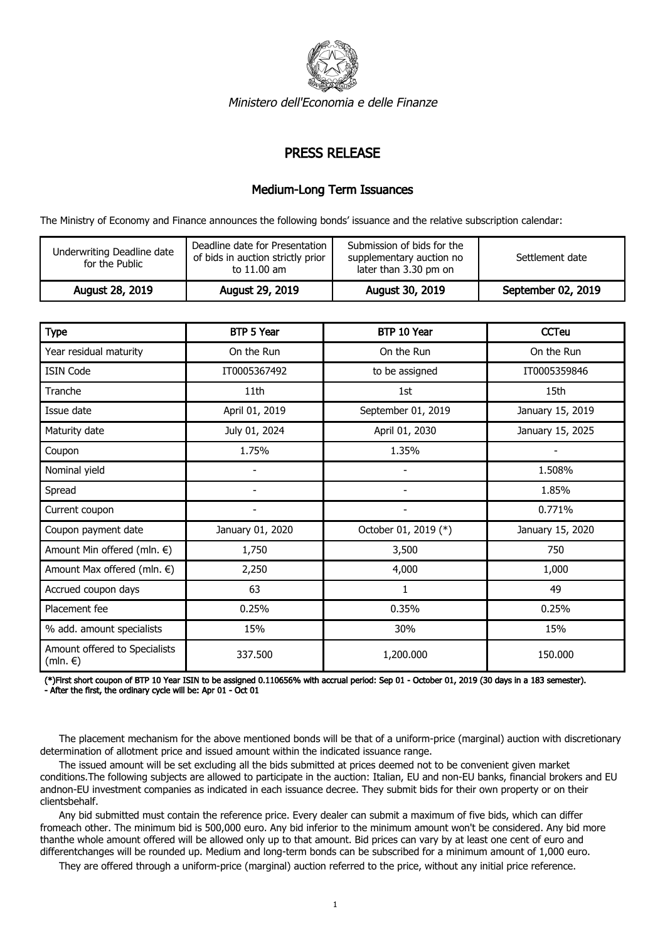

Ministero dell'Economia e delle Finanze

## PRESS RELEASE

## Medium-Long Term Issuances

The Ministry of Economy and Finance announces the following bonds' issuance and the relative subscription calendar:

| Underwriting Deadline date<br>for the Public | Deadline date for Presentation<br>of bids in auction strictly prior<br>to 11.00 am | Submission of bids for the<br>supplementary auction no<br>later than 3.30 pm on | Settlement date    |
|----------------------------------------------|------------------------------------------------------------------------------------|---------------------------------------------------------------------------------|--------------------|
| August 28, 2019                              | August 29, 2019                                                                    | August 30, 2019                                                                 | September 02, 2019 |

| <b>Type</b>                                        | BTP 5 Year       | BTP 10 Year              | <b>CCTeu</b>     |
|----------------------------------------------------|------------------|--------------------------|------------------|
| Year residual maturity                             | On the Run       | On the Run               | On the Run       |
| <b>ISIN Code</b>                                   | IT0005367492     | to be assigned           | IT0005359846     |
| Tranche                                            | 11 <sub>th</sub> | 1st                      | 15th             |
| Issue date                                         | April 01, 2019   | September 01, 2019       | January 15, 2019 |
| Maturity date                                      | July 01, 2024    | April 01, 2030           | January 15, 2025 |
| Coupon                                             | 1.75%            | 1.35%                    |                  |
| Nominal yield                                      |                  |                          | 1.508%           |
| Spread                                             |                  | $\overline{\phantom{a}}$ | 1.85%            |
| Current coupon                                     |                  | $\overline{\phantom{a}}$ | 0.771%           |
| Coupon payment date                                | January 01, 2020 | October 01, 2019 (*)     | January 15, 2020 |
| Amount Min offered (mln. €)                        | 1,750            | 3,500                    | 750              |
| Amount Max offered (mln. $\epsilon$ )              | 2,250            | 4,000                    | 1,000            |
| Accrued coupon days                                | 63               | 1                        | 49               |
| Placement fee                                      | 0.25%            | 0.35%                    | 0.25%            |
| % add. amount specialists                          | 15%              | 30%                      | 15%              |
| Amount offered to Specialists<br>$(mln. \epsilon)$ | 337.500          | 1,200.000                | 150.000          |

(\*)First short coupon of BTP 10 Year ISIN to be assigned 0.110656% with accrual period: Sep 01 - October 01, 2019 (30 days in a 183 semester). - After the first, the ordinary cycle will be: Apr 01 - Oct 01

 The placement mechanism for the above mentioned bonds will be that of a uniform-price (marginal) auction with discretionary determination of allotment price and issued amount within the indicated issuance range.

 The issued amount will be set excluding all the bids submitted at prices deemed not to be convenient given market conditions.The following subjects are allowed to participate in the auction: Italian, EU and non-EU banks, financial brokers and EU andnon-EU investment companies as indicated in each issuance decree. They submit bids for their own property or on their clientsbehalf.

 Any bid submitted must contain the reference price. Every dealer can submit a maximum of five bids, which can differ fromeach other. The minimum bid is 500,000 euro. Any bid inferior to the minimum amount won't be considered. Any bid more thanthe whole amount offered will be allowed only up to that amount. Bid prices can vary by at least one cent of euro and differentchanges will be rounded up. Medium and long-term bonds can be subscribed for a minimum amount of 1,000 euro.

They are offered through a uniform-price (marginal) auction referred to the price, without any initial price reference.